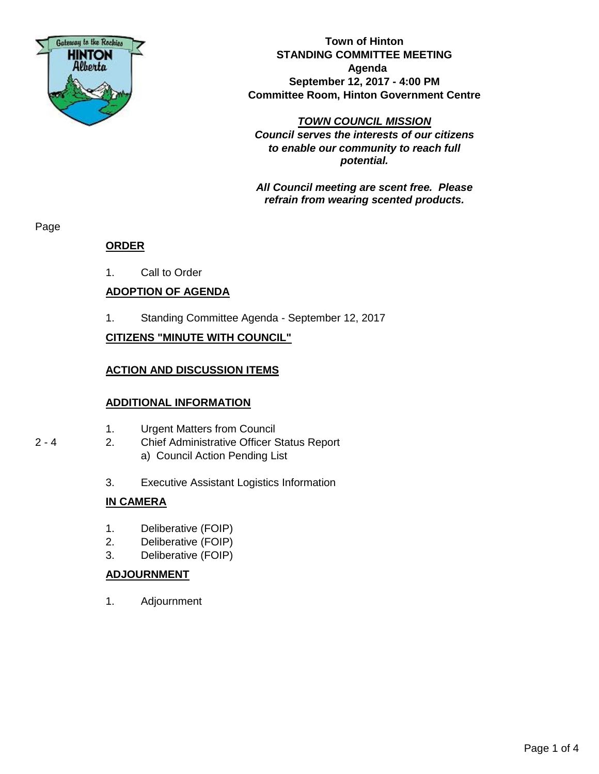

**Town of Hinton STANDING COMMITTEE MEETING Agenda September 12, 2017 - 4:00 PM Committee Room, Hinton Government Centre**

*TOWN COUNCIL MISSION Council serves the interests of our citizens to enable our community to reach full potential.*

*All Council meeting are scent free. Please refrain from wearing scented products.*

Page

## **ORDER**

1. Call to Order

## **ADOPTION OF AGENDA**

1. Standing Committee Agenda - September 12, 2017

## **CITIZENS "MINUTE WITH COUNCIL"**

### **ACTION AND DISCUSSION ITEMS**

#### **ADDITIONAL INFORMATION**

- 1. Urgent Matters from Council
- 2 4 2. Chief Administrative Officer Status Report a) Council Action Pending List
	- 3. Executive Assistant Logistics Information

#### **IN CAMERA**

- 1. Deliberative (FOIP)
- 2. Deliberative (FOIP)
- 3. Deliberative (FOIP)

#### **ADJOURNMENT**

1. Adjournment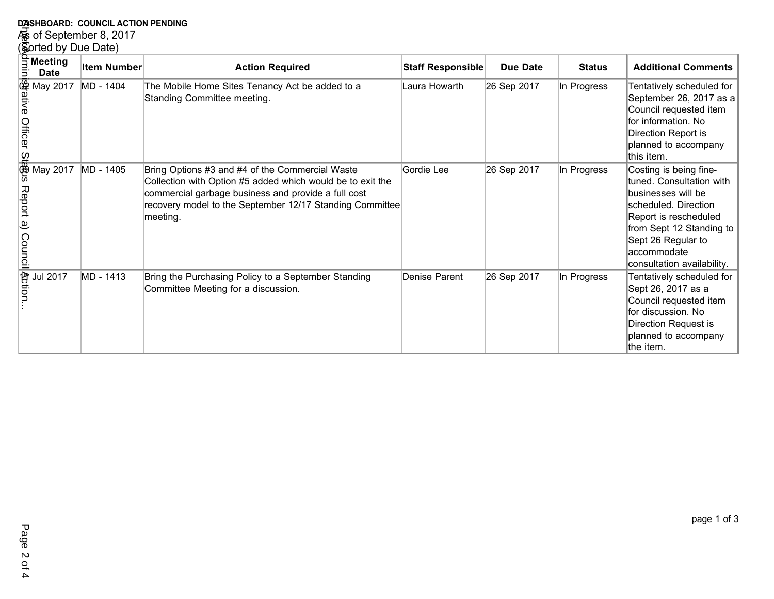| DASHBOARD: COUNCIL ACTION PENDING                                                                                     |             |                                                                                                                                                                                                                                              |                   |                 |               |                                                                                                                                                                                                                           |  |
|-----------------------------------------------------------------------------------------------------------------------|-------------|----------------------------------------------------------------------------------------------------------------------------------------------------------------------------------------------------------------------------------------------|-------------------|-----------------|---------------|---------------------------------------------------------------------------------------------------------------------------------------------------------------------------------------------------------------------------|--|
| 德 of September 8, 2017                                                                                                |             |                                                                                                                                                                                                                                              |                   |                 |               |                                                                                                                                                                                                                           |  |
| (Sorted by Due Date)                                                                                                  |             |                                                                                                                                                                                                                                              |                   |                 |               |                                                                                                                                                                                                                           |  |
| $\frac{2}{3}$ Meeting<br>$\frac{1}{2}$ Date                                                                           | Item Number | <b>Action Required</b>                                                                                                                                                                                                                       | Staff Responsible | <b>Due Date</b> | <b>Status</b> | <b>Additional Comments</b>                                                                                                                                                                                                |  |
| $\frac{1}{2}$<br>$\frac{1}{2}$ May 2017<br>$\frac{1}{2}$ May 2017<br>$\frac{1}{2}$ May 2017<br>$\frac{1}{2}$ May 2017 | MD - 1404   | The Mobile Home Sites Tenancy Act be added to a<br>Standing Committee meeting.                                                                                                                                                               | Laura Howarth     | 26 Sep 2017     | In Progress   | Tentatively scheduled for<br>September 26, 2017 as a<br>Council requested item<br>for information. No<br>Direction Report is<br>planned to accompany<br>this item.                                                        |  |
| Report a)<br>Council     付 council                                                                                    | MD - 1405   | Bring Options #3 and #4 of the Commercial Waste<br>Collection with Option #5 added which would be to exit the<br>commercial garbage business and provide a full cost<br>recovery model to the September 12/17 Standing Committee<br>meeting. | Gordie Lee        | 26 Sep 2017     | In Progress   | Costing is being fine-<br>tuned. Consultation with<br>businesses will be<br>scheduled. Direction<br>Report is rescheduled<br>from Sept 12 Standing to<br>Sept 26 Regular to<br>laccommodate<br>consultation availability. |  |
| <b>Jul 2017</b>                                                                                                       | MD - 1413   | Bring the Purchasing Policy to a September Standing<br>Committee Meeting for a discussion.                                                                                                                                                   | Denise Parent     | 26 Sep 2017     | In Progress   | Tentatively scheduled for<br>Sept 26, 2017 as a<br>Council requested item<br>for discussion. No<br>Direction Request is<br>planned to accompany<br>the item.                                                              |  |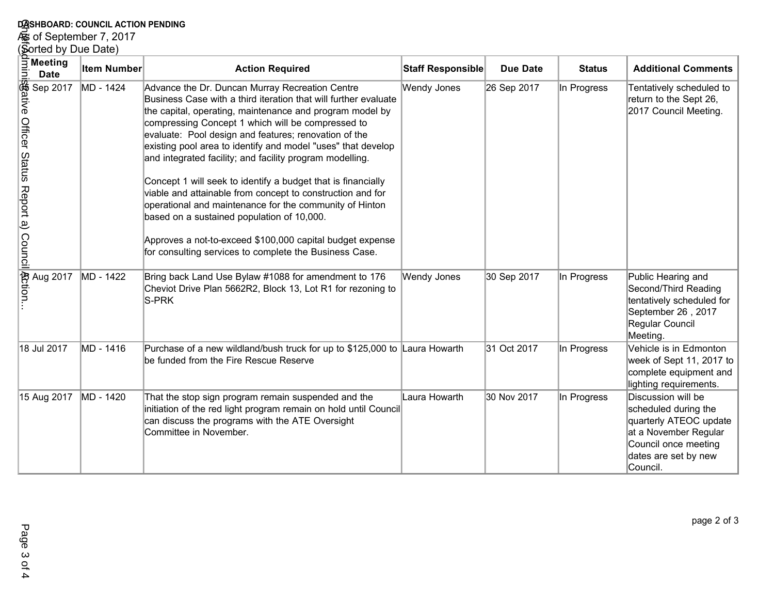# **DASHBOARD: COUNCIL ACTION PENDING<br>கூ of September 7, 2017<br>(Sorted by Due Date)**

| DASHBOARD: COUNCIL ACTION PENDING                                                                                                                                                                                                        |                    |                                                                                                                                                                                                                                                                                                                                                                                                                                                                                                                                                                                                                                                                                                                                                                                        |                    |                 |               |                                                                                                                                                           |  |
|------------------------------------------------------------------------------------------------------------------------------------------------------------------------------------------------------------------------------------------|--------------------|----------------------------------------------------------------------------------------------------------------------------------------------------------------------------------------------------------------------------------------------------------------------------------------------------------------------------------------------------------------------------------------------------------------------------------------------------------------------------------------------------------------------------------------------------------------------------------------------------------------------------------------------------------------------------------------------------------------------------------------------------------------------------------------|--------------------|-----------------|---------------|-----------------------------------------------------------------------------------------------------------------------------------------------------------|--|
| es of September 7, 2017                                                                                                                                                                                                                  |                    |                                                                                                                                                                                                                                                                                                                                                                                                                                                                                                                                                                                                                                                                                                                                                                                        |                    |                 |               |                                                                                                                                                           |  |
| (Sorted by Due Date)                                                                                                                                                                                                                     |                    |                                                                                                                                                                                                                                                                                                                                                                                                                                                                                                                                                                                                                                                                                                                                                                                        |                    |                 |               |                                                                                                                                                           |  |
|                                                                                                                                                                                                                                          | <b>Item Number</b> | <b>Action Required</b>                                                                                                                                                                                                                                                                                                                                                                                                                                                                                                                                                                                                                                                                                                                                                                 | Staff Responsible  | <b>Due Date</b> | <b>Status</b> | <b>Additional Comments</b>                                                                                                                                |  |
| process and all all of the CHE of the CHE of the CHE of the CHE of the CHE of the CHE of the CHE of the CHE of the CHE of the CHE of the CHE of the CHE of the CHE of the CHE of the CHE of the CHE of the CHE of the CHE of<br>Sep 2017 | MD - 1424          | Advance the Dr. Duncan Murray Recreation Centre<br>Business Case with a third iteration that will further evaluate<br>the capital, operating, maintenance and program model by<br>compressing Concept 1 which will be compressed to<br>evaluate: Pool design and features; renovation of the<br>existing pool area to identify and model "uses" that develop<br>and integrated facility; and facility program modelling.<br>Concept 1 will seek to identify a budget that is financially<br>viable and attainable from concept to construction and for<br>operational and maintenance for the community of Hinton<br>based on a sustained population of 10,000.<br>Approves a not-to-exceed \$100,000 capital budget expense<br>for consulting services to complete the Business Case. | <b>Wendy Jones</b> | 26 Sep 2017     | In Progress   | Tentatively scheduled to<br>return to the Sept 26,<br>2017 Council Meeting.                                                                               |  |
| Aug 2017                                                                                                                                                                                                                                 | MD - 1422          | Bring back Land Use Bylaw #1088 for amendment to 176<br>Cheviot Drive Plan 5662R2, Block 13, Lot R1 for rezoning to<br>S-PRK                                                                                                                                                                                                                                                                                                                                                                                                                                                                                                                                                                                                                                                           | <b>Wendy Jones</b> | 30 Sep 2017     | In Progress   | Public Hearing and<br>Second/Third Reading<br>tentatively scheduled for<br>September 26, 2017<br>Regular Council<br>Meeting.                              |  |
| 18 Jul 2017                                                                                                                                                                                                                              | MD - 1416          | Purchase of a new wildland/bush truck for up to \$125,000 to Laura Howarth<br>be funded from the Fire Rescue Reserve                                                                                                                                                                                                                                                                                                                                                                                                                                                                                                                                                                                                                                                                   |                    | 31 Oct 2017     | In Progress   | Vehicle is in Edmonton<br>week of Sept 11, 2017 to<br>complete equipment and<br>lighting requirements.                                                    |  |
| 15 Aug 2017                                                                                                                                                                                                                              | MD - 1420          | That the stop sign program remain suspended and the<br>initiation of the red light program remain on hold until Council<br>can discuss the programs with the ATE Oversight<br>Committee in November.                                                                                                                                                                                                                                                                                                                                                                                                                                                                                                                                                                                   | Laura Howarth      | 30 Nov 2017     | In Progress   | Discussion will be<br>scheduled during the<br>quarterly ATEOC update<br>at a November Regular<br>Council once meeting<br>dates are set by new<br>Council. |  |